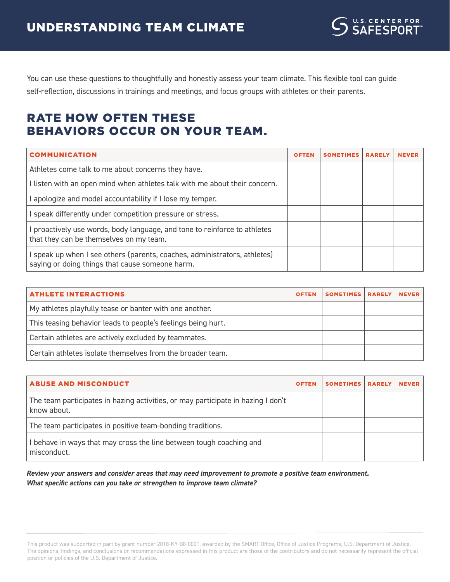You can use these questions to thoughtfully and honestly assess your team climate. This flexible tool can guide self-reflection, discussions in trainings and meetings, and focus groups with athletes or their parents.

## RATE HOW OFTEN THESE BEHAVIORS OCCUR ON YOUR TEAM.

| <b>COMMUNICATION</b>                                                                                                       | <b>OFTEN</b> | <b>SOMETIMES</b> | <b>RARELY</b> | <b>NEVER</b> |
|----------------------------------------------------------------------------------------------------------------------------|--------------|------------------|---------------|--------------|
| Athletes come talk to me about concerns they have.                                                                         |              |                  |               |              |
| I listen with an open mind when athletes talk with me about their concern.                                                 |              |                  |               |              |
| apologize and model accountability if I lose my temper.                                                                    |              |                  |               |              |
| speak differently under competition pressure or stress.                                                                    |              |                  |               |              |
| proactively use words, body language, and tone to reinforce to athletes<br>that they can be themselves on my team.         |              |                  |               |              |
| speak up when I see others (parents, coaches, administrators, athletes)<br>saying or doing things that cause someone harm. |              |                  |               |              |

| <b>ATHLETE INTERACTIONS</b>                                  | <b>OFTEN</b> | SOMETIMES RARELY | <b>NEVER</b> |
|--------------------------------------------------------------|--------------|------------------|--------------|
| My athletes playfully tease or banter with one another.      |              |                  |              |
| This teasing behavior leads to people's feelings being hurt. |              |                  |              |
| Certain athletes are actively excluded by teammates.         |              |                  |              |
| Certain athletes isolate themselves from the broader team.   |              |                  |              |

| <b>ABUSE AND MISCONDUCT</b>                                                                     | <b>OFTEN</b> | <b>SOMETIMES</b> | <b>RARELY</b> | <b>NEVER</b> |
|-------------------------------------------------------------------------------------------------|--------------|------------------|---------------|--------------|
| The team participates in hazing activities, or may participate in hazing I don't<br>know about. |              |                  |               |              |
| The team participates in positive team-bonding traditions.                                      |              |                  |               |              |
| I behave in ways that may cross the line between tough coaching and<br>misconduct.              |              |                  |               |              |

*Review your answers and consider areas that may need improvement to promote a positive team environment. What specific actions can you take or strengthen to improve team climate?*

This product was supported in part by grant number 2018-KY-B8-0001, awarded by the SMART Office, Office of Justice Programs, U.S. Department of Justice. The opinions, findings, and conclusions or recommendations expressed in this product are those of the contributors and do not necessarily represent the official position or policies of the U.S. Department of Justice.